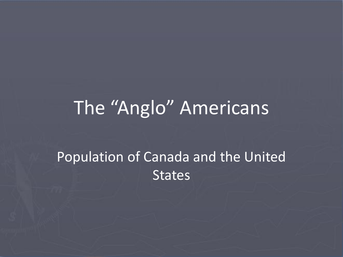### The "Anglo" Americans

#### Population of Canada and the United **States**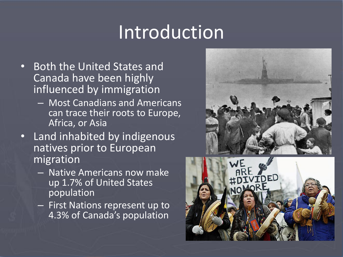# Introduction

- Both the United States and Canada have been highly influenced by immigration
	- Most Canadians and Americans can trace their roots to Europe, Africa, or Asia
- Land inhabited by indigenous natives prior to European migration
	- Native Americans now make up 1.7% of United States population
	- First Nations represent up to 4.3% of Canada's population



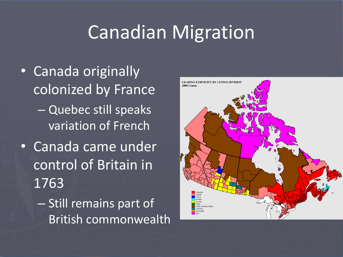### Canadian Migration

- Canada originally colonized by France – Quebec still speaks variation of French
- Canada came under control of Britain in 1763
	- Still remains part of British commonwealth

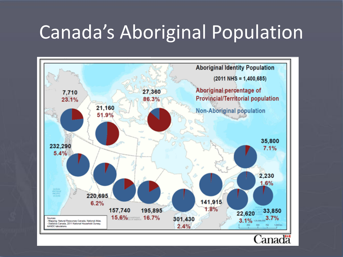# Canada's Aboriginal Population

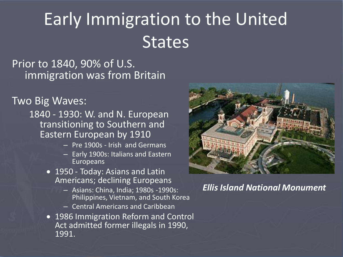# Early Immigration to the United **States**

Prior to 1840, 90% of U.S. immigration was from Britain

Two Big Waves:

1840 - 1930: W. and N. European transitioning to Southern and Eastern European by 1910

- Pre 1900s Irish and Germans
- Early 1900s: Italians and Eastern Europeans
- 1950 Today: Asians and Latin Americans; declining Europeans
	- Asians: China, India; 1980s -1990s: Philippines, Vietnam, and South Korea
	- Central Americans and Caribbean
- 1986 Immigration Reform and Control Act admitted former illegals in 1990, 1991.



*Ellis Island National Monument*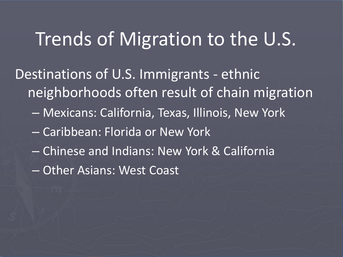#### Trends of Migration to the U.S.

Destinations of U.S. Immigrants - ethnic neighborhoods often result of chain migration

- Mexicans: California, Texas, Illinois, New York
- Caribbean: Florida or New York
- Chinese and Indians: New York & California
- Other Asians: West Coast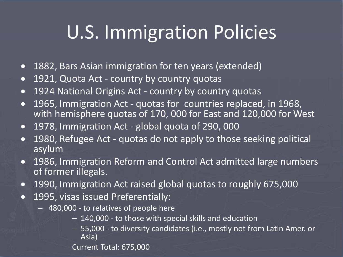# U.S. Immigration Policies

- 1882, Bars Asian immigration for ten years (extended)
- 1921, Quota Act country by country quotas
- 1924 National Origins Act country by country quotas
- 1965, Immigration Act quotas for countries replaced, in 1968, with hemisphere quotas of 170, 000 for East and 120,000 for West
- 1978, Immigration Act global quota of 290, 000
- 1980, Refugee Act quotas do not apply to those seeking political asylum
- 1986, Immigration Reform and Control Act admitted large numbers of former illegals.
- 1990, Immigration Act raised global quotas to roughly 675,000
- 1995, visas issued Preferentially:
	- 480,000 to relatives of people here
		- 140,000 to those with special skills and education
		- 55,000 to diversity candidates (i.e., mostly not from Latin Amer. or Asia)

Current Total: 675,000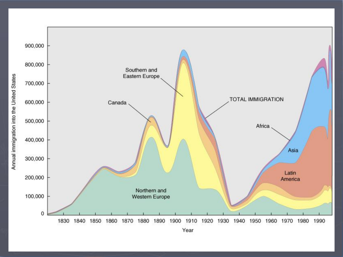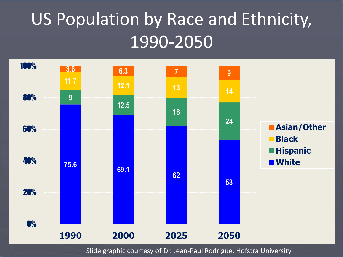# US Population by Race and Ethnicity, 1990-2050



Slide graphic courtesy of Dr. Jean-Paul Rodrigue, Hofstra University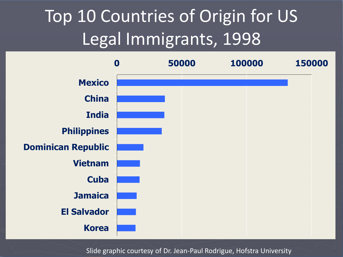# Top 10 Countries of Origin for US Legal Immigrants, 1998



Slide graphic courtesy of Dr. Jean-Paul Rodrigue, Hofstra University